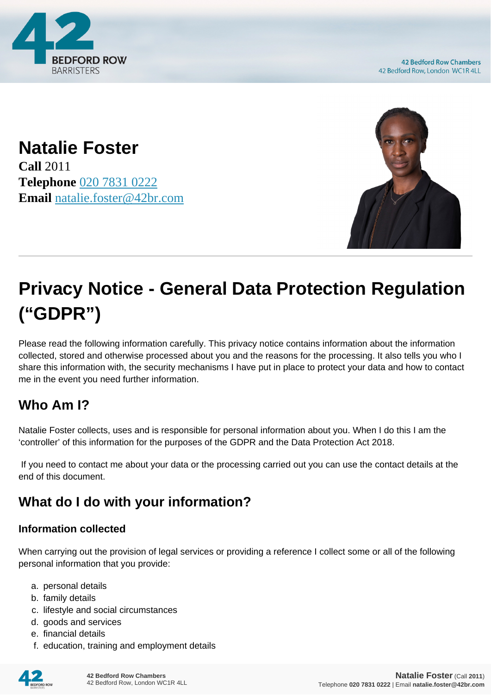

**42 Bedford Row Chambers** 42 Bedford Row, London WC1R 4LL

**Natalie Foster Call** 2011 **Telephone** [020 7831 0222](https://pdf.codeshore.co/_42br/tel:020 7831 0222) **Email** [natalie.foster@42br.com](mailto:natalie.foster@42br.com)



# **Privacy Notice - General Data Protection Regulation ("GDPR")**

Please read the following information carefully. This privacy notice contains information about the information collected, stored and otherwise processed about you and the reasons for the processing. It also tells you who I share this information with, the security mechanisms I have put in place to protect your data and how to contact me in the event you need further information.

# **Who Am I?**

Natalie Foster collects, uses and is responsible for personal information about you. When I do this I am the 'controller' of this information for the purposes of the GDPR and the Data Protection Act 2018.

 If you need to contact me about your data or the processing carried out you can use the contact details at the end of this document.

# **What do I do with your information?**

#### **Information collected**

When carrying out the provision of legal services or providing a reference I collect some or all of the following personal information that you provide:

- a. personal details
- b. family details
- c. lifestyle and social circumstances
- d. goods and services
- e. financial details
- f. education, training and employment details

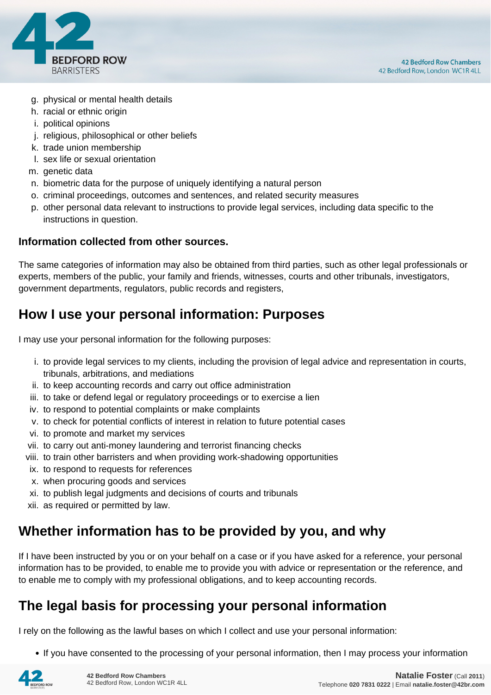

- g. physical or mental health details
- h. racial or ethnic origin
- i. political opinions
- j. religious, philosophical or other beliefs
- k. trade union membership
- l. sex life or sexual orientation
- m. genetic data
- n. biometric data for the purpose of uniquely identifying a natural person
- o. criminal proceedings, outcomes and sentences, and related security measures
- p. other personal data relevant to instructions to provide legal services, including data specific to the instructions in question.

#### **Information collected from other sources.**

The same categories of information may also be obtained from third parties, such as other legal professionals or experts, members of the public, your family and friends, witnesses, courts and other tribunals, investigators, government departments, regulators, public records and registers,

# **How I use your personal information: Purposes**

I may use your personal information for the following purposes:

- i. to provide legal services to my clients, including the provision of legal advice and representation in courts, tribunals, arbitrations, and mediations
- ii. to keep accounting records and carry out office administration
- iii. to take or defend legal or regulatory proceedings or to exercise a lien
- iv. to respond to potential complaints or make complaints
- v. to check for potential conflicts of interest in relation to future potential cases
- vi. to promote and market my services
- vii. to carry out anti-money laundering and terrorist financing checks
- viii. to train other barristers and when providing work-shadowing opportunities
- ix. to respond to requests for references
- x. when procuring goods and services
- xi. to publish legal judgments and decisions of courts and tribunals
- xii. as required or permitted by law.

# **Whether information has to be provided by you, and why**

If I have been instructed by you or on your behalf on a case or if you have asked for a reference, your personal information has to be provided, to enable me to provide you with advice or representation or the reference, and to enable me to comply with my professional obligations, and to keep accounting records.

# **The legal basis for processing your personal information**

I rely on the following as the lawful bases on which I collect and use your personal information:

• If you have consented to the processing of your personal information, then I may process your information

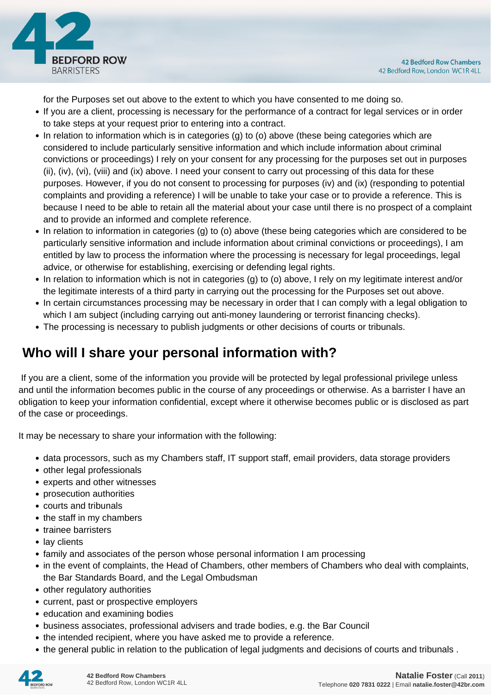

for the Purposes set out above to the extent to which you have consented to me doing so.

- If you are a client, processing is necessary for the performance of a contract for legal services or in order to take steps at your request prior to entering into a contract.
- In relation to information which is in categories (g) to (o) above (these being categories which are considered to include particularly sensitive information and which include information about criminal convictions or proceedings) I rely on your consent for any processing for the purposes set out in purposes (ii), (iv), (vi), (viii) and (ix) above. I need your consent to carry out processing of this data for these purposes. However, if you do not consent to processing for purposes (iv) and (ix) (responding to potential complaints and providing a reference) I will be unable to take your case or to provide a reference. This is because I need to be able to retain all the material about your case until there is no prospect of a complaint and to provide an informed and complete reference.
- In relation to information in categories (g) to (o) above (these being categories which are considered to be particularly sensitive information and include information about criminal convictions or proceedings), I am entitled by law to process the information where the processing is necessary for legal proceedings, legal advice, or otherwise for establishing, exercising or defending legal rights.
- In relation to information which is not in categories (g) to (o) above, I rely on my legitimate interest and/or the legitimate interests of a third party in carrying out the processing for the Purposes set out above.
- In certain circumstances processing may be necessary in order that I can comply with a legal obligation to which I am subject (including carrying out anti-money laundering or terrorist financing checks).
- The processing is necessary to publish judgments or other decisions of courts or tribunals.

# **Who will I share your personal information with?**

 If you are a client, some of the information you provide will be protected by legal professional privilege unless and until the information becomes public in the course of any proceedings or otherwise. As a barrister I have an obligation to keep your information confidential, except where it otherwise becomes public or is disclosed as part of the case or proceedings.

It may be necessary to share your information with the following:

- data processors, such as my Chambers staff, IT support staff, email providers, data storage providers
- other legal professionals
- experts and other witnesses
- prosecution authorities
- courts and tribunals
- the staff in my chambers
- trainee barristers
- lay clients
- family and associates of the person whose personal information I am processing
- in the event of complaints, the Head of Chambers, other members of Chambers who deal with complaints, the Bar Standards Board, and the Legal Ombudsman
- other regulatory authorities
- current, past or prospective employers
- education and examining bodies
- business associates, professional advisers and trade bodies, e.g. the Bar Council
- the intended recipient, where you have asked me to provide a reference.
- the general public in relation to the publication of legal judgments and decisions of courts and tribunals .

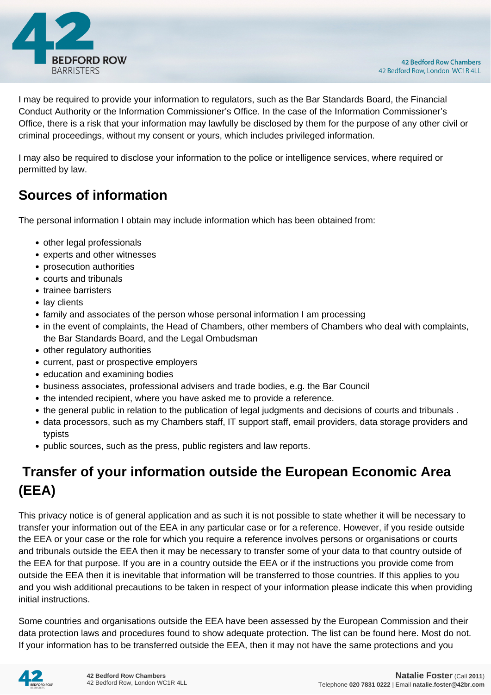

I may be required to provide your information to regulators, such as the Bar Standards Board, the Financial Conduct Authority or the Information Commissioner's Office. In the case of the Information Commissioner's Office, there is a risk that your information may lawfully be disclosed by them for the purpose of any other civil or criminal proceedings, without my consent or yours, which includes privileged information.

I may also be required to disclose your information to the police or intelligence services, where required or permitted by law.

# **Sources of information**

The personal information I obtain may include information which has been obtained from:

- other legal professionals
- experts and other witnesses
- prosecution authorities
- courts and tribunals
- trainee barristers
- lay clients
- family and associates of the person whose personal information I am processing
- in the event of complaints, the Head of Chambers, other members of Chambers who deal with complaints, the Bar Standards Board, and the Legal Ombudsman
- other regulatory authorities
- current, past or prospective employers
- education and examining bodies
- business associates, professional advisers and trade bodies, e.g. the Bar Council
- the intended recipient, where you have asked me to provide a reference.
- the general public in relation to the publication of legal judgments and decisions of courts and tribunals .
- data processors, such as my Chambers staff, IT support staff, email providers, data storage providers and typists
- public sources, such as the press, public registers and law reports.

# **Transfer of your information outside the European Economic Area (EEA)**

This privacy notice is of general application and as such it is not possible to state whether it will be necessary to transfer your information out of the EEA in any particular case or for a reference. However, if you reside outside the EEA or your case or the role for which you require a reference involves persons or organisations or courts and tribunals outside the EEA then it may be necessary to transfer some of your data to that country outside of the EEA for that purpose. If you are in a country outside the EEA or if the instructions you provide come from outside the EEA then it is inevitable that information will be transferred to those countries. If this applies to you and you wish additional precautions to be taken in respect of your information please indicate this when providing initial instructions.

Some countries and organisations outside the EEA have been assessed by the European Commission and their data protection laws and procedures found to show adequate protection. The list can be found here. Most do not. If your information has to be transferred outside the EEA, then it may not have the same protections and you

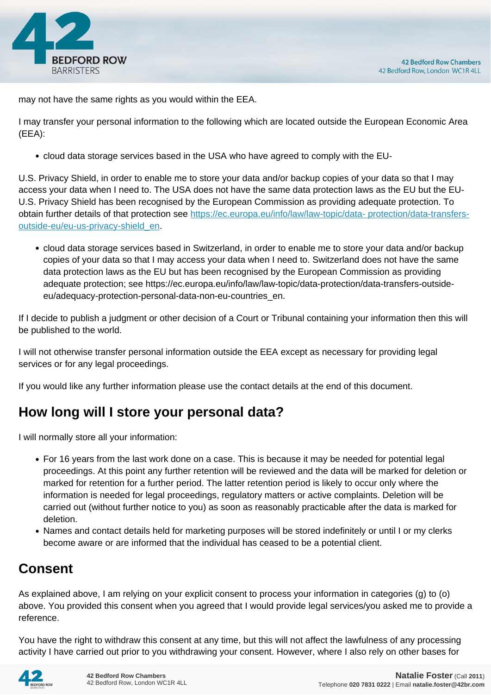

may not have the same rights as you would within the EEA.

I may transfer your personal information to the following which are located outside the European Economic Area (EEA):

cloud data storage services based in the USA who have agreed to comply with the EU-

U.S. Privacy Shield, in order to enable me to store your data and/or backup copies of your data so that I may access your data when I need to. The USA does not have the same data protection laws as the EU but the EU-U.S. Privacy Shield has been recognised by the European Commission as providing adequate protection. To obtain further details of that protection see [https://ec.europa.eu/info/law/law-topic/data- protection/data-transfers](https://ec.europa.eu/info/law/law-topic/data- protection/data-transfers-outside-eu/eu-us-privacy-shield_en)[outside-eu/eu-us-privacy-shield\\_en.](https://ec.europa.eu/info/law/law-topic/data- protection/data-transfers-outside-eu/eu-us-privacy-shield_en)

cloud data storage services based in Switzerland, in order to enable me to store your data and/or backup copies of your data so that I may access your data when I need to. Switzerland does not have the same data protection laws as the EU but has been recognised by the European Commission as providing adequate protection; see https://ec.europa.eu/info/law/law-topic/data-protection/data-transfers-outsideeu/adequacy-protection-personal-data-non-eu-countries\_en.

If I decide to publish a judgment or other decision of a Court or Tribunal containing your information then this will be published to the world.

I will not otherwise transfer personal information outside the EEA except as necessary for providing legal services or for any legal proceedings.

If you would like any further information please use the contact details at the end of this document.

# **How long will I store your personal data?**

I will normally store all your information:

- For 16 years from the last work done on a case. This is because it may be needed for potential legal proceedings. At this point any further retention will be reviewed and the data will be marked for deletion or marked for retention for a further period. The latter retention period is likely to occur only where the information is needed for legal proceedings, regulatory matters or active complaints. Deletion will be carried out (without further notice to you) as soon as reasonably practicable after the data is marked for deletion.
- Names and contact details held for marketing purposes will be stored indefinitely or until I or my clerks become aware or are informed that the individual has ceased to be a potential client.

# **Consent**

As explained above, I am relying on your explicit consent to process your information in categories (g) to (o) above. You provided this consent when you agreed that I would provide legal services/you asked me to provide a reference.

You have the right to withdraw this consent at any time, but this will not affect the lawfulness of any processing activity I have carried out prior to you withdrawing your consent. However, where I also rely on other bases for

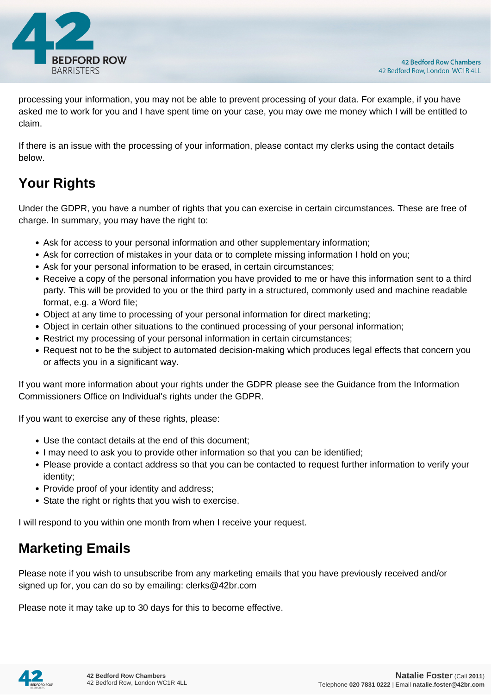

processing your information, you may not be able to prevent processing of your data. For example, if you have asked me to work for you and I have spent time on your case, you may owe me money which I will be entitled to claim.

If there is an issue with the processing of your information, please contact my clerks using the contact details below.

# **Your Rights**

Under the GDPR, you have a number of rights that you can exercise in certain circumstances. These are free of charge. In summary, you may have the right to:

- Ask for access to your personal information and other supplementary information;
- Ask for correction of mistakes in your data or to complete missing information I hold on you;
- Ask for your personal information to be erased, in certain circumstances;
- Receive a copy of the personal information you have provided to me or have this information sent to a third party. This will be provided to you or the third party in a structured, commonly used and machine readable format, e.g. a Word file;
- Object at any time to processing of your personal information for direct marketing;
- Object in certain other situations to the continued processing of your personal information;
- Restrict my processing of your personal information in certain circumstances;
- Request not to be the subject to automated decision-making which produces legal effects that concern you or affects you in a significant way.

If you want more information about your rights under the GDPR please see the Guidance from the Information Commissioners Office on Individual's rights under the GDPR.

If you want to exercise any of these rights, please:

- Use the contact details at the end of this document;
- I may need to ask you to provide other information so that you can be identified;
- Please provide a contact address so that you can be contacted to request further information to verify your identity;
- Provide proof of your identity and address;
- State the right or rights that you wish to exercise.

I will respond to you within one month from when I receive your request.

# **Marketing Emails**

Please note if you wish to unsubscribe from any marketing emails that you have previously received and/or signed up for, you can do so by emailing: clerks@42br.com

Please note it may take up to 30 days for this to become effective.